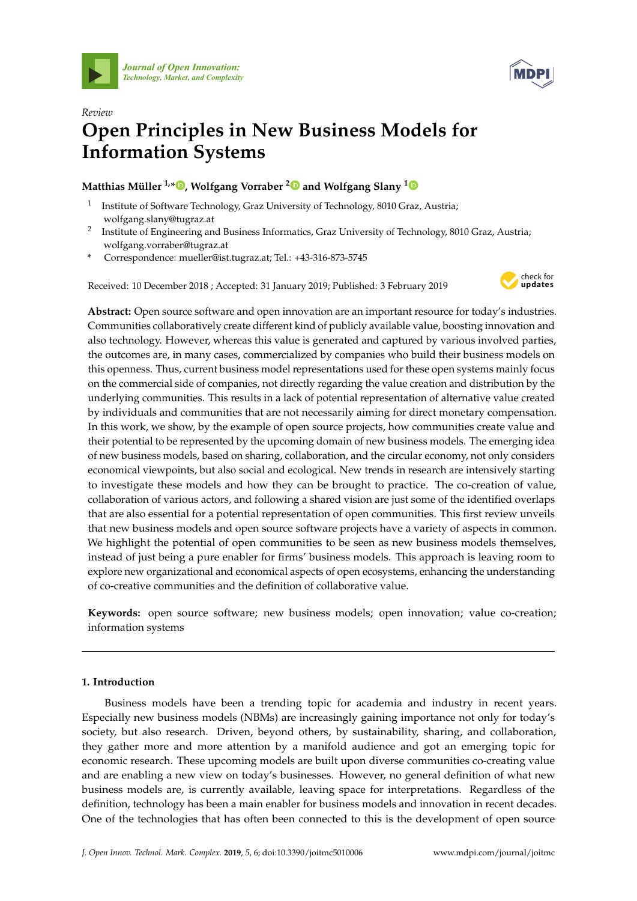



# *Review* **Open Principles in New Business Models for Information Systems**

# **Matthias Müller 1,[\\*](https://orcid.org/0000-0002-9177-3070) , Wolfgang Vorraber [2](https://orcid.org/0000-0002-1550-2279) and Wolfgang Slany [1](https://orcid.org/0000-0002-4979-6156)**

- 1 Institute of Software Technology, Graz University of Technology, 8010 Graz, Austria; wolfgang.slany@tugraz.at
- 2 Institute of Engineering and Business Informatics, Graz University of Technology, 8010 Graz, Austria; wolfgang.vorraber@tugraz.at
- **\*** Correspondence: mueller@ist.tugraz.at; Tel.: +43-316-873-5745

Received: 10 December 2018 ; Accepted: 31 January 2019; Published: 3 February 2019



**Abstract:** Open source software and open innovation are an important resource for today's industries. Communities collaboratively create different kind of publicly available value, boosting innovation and also technology. However, whereas this value is generated and captured by various involved parties, the outcomes are, in many cases, commercialized by companies who build their business models on this openness. Thus, current business model representations used for these open systems mainly focus on the commercial side of companies, not directly regarding the value creation and distribution by the underlying communities. This results in a lack of potential representation of alternative value created by individuals and communities that are not necessarily aiming for direct monetary compensation. In this work, we show, by the example of open source projects, how communities create value and their potential to be represented by the upcoming domain of new business models. The emerging idea of new business models, based on sharing, collaboration, and the circular economy, not only considers economical viewpoints, but also social and ecological. New trends in research are intensively starting to investigate these models and how they can be brought to practice. The co-creation of value, collaboration of various actors, and following a shared vision are just some of the identified overlaps that are also essential for a potential representation of open communities. This first review unveils that new business models and open source software projects have a variety of aspects in common. We highlight the potential of open communities to be seen as new business models themselves, instead of just being a pure enabler for firms' business models. This approach is leaving room to explore new organizational and economical aspects of open ecosystems, enhancing the understanding of co-creative communities and the definition of collaborative value.

**Keywords:** open source software; new business models; open innovation; value co-creation; information systems

## **1. Introduction**

Business models have been a trending topic for academia and industry in recent years. Especially new business models (NBMs) are increasingly gaining importance not only for today's society, but also research. Driven, beyond others, by sustainability, sharing, and collaboration, they gather more and more attention by a manifold audience and got an emerging topic for economic research. These upcoming models are built upon diverse communities co-creating value and are enabling a new view on today's businesses. However, no general definition of what new business models are, is currently available, leaving space for interpretations. Regardless of the definition, technology has been a main enabler for business models and innovation in recent decades. One of the technologies that has often been connected to this is the development of open source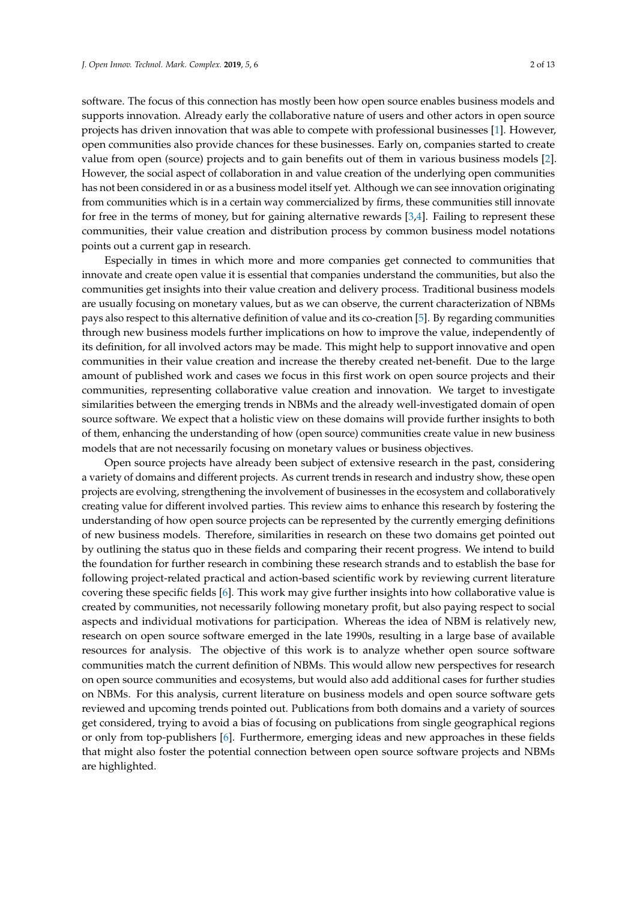software. The focus of this connection has mostly been how open source enables business models and supports innovation. Already early the collaborative nature of users and other actors in open source projects has driven innovation that was able to compete with professional businesses [\[1\]](#page-10-0). However, open communities also provide chances for these businesses. Early on, companies started to create value from open (source) projects and to gain benefits out of them in various business models [\[2\]](#page-10-1). However, the social aspect of collaboration in and value creation of the underlying open communities has not been considered in or as a business model itself yet. Although we can see innovation originating from communities which is in a certain way commercialized by firms, these communities still innovate for free in the terms of money, but for gaining alternative rewards [\[3](#page-10-2)[,4\]](#page-10-3). Failing to represent these communities, their value creation and distribution process by common business model notations points out a current gap in research.

Especially in times in which more and more companies get connected to communities that innovate and create open value it is essential that companies understand the communities, but also the communities get insights into their value creation and delivery process. Traditional business models are usually focusing on monetary values, but as we can observe, the current characterization of NBMs pays also respect to this alternative definition of value and its co-creation [\[5\]](#page-10-4). By regarding communities through new business models further implications on how to improve the value, independently of its definition, for all involved actors may be made. This might help to support innovative and open communities in their value creation and increase the thereby created net-benefit. Due to the large amount of published work and cases we focus in this first work on open source projects and their communities, representing collaborative value creation and innovation. We target to investigate similarities between the emerging trends in NBMs and the already well-investigated domain of open source software. We expect that a holistic view on these domains will provide further insights to both of them, enhancing the understanding of how (open source) communities create value in new business models that are not necessarily focusing on monetary values or business objectives.

Open source projects have already been subject of extensive research in the past, considering a variety of domains and different projects. As current trends in research and industry show, these open projects are evolving, strengthening the involvement of businesses in the ecosystem and collaboratively creating value for different involved parties. This review aims to enhance this research by fostering the understanding of how open source projects can be represented by the currently emerging definitions of new business models. Therefore, similarities in research on these two domains get pointed out by outlining the status quo in these fields and comparing their recent progress. We intend to build the foundation for further research in combining these research strands and to establish the base for following project-related practical and action-based scientific work by reviewing current literature covering these specific fields [\[6\]](#page-10-5). This work may give further insights into how collaborative value is created by communities, not necessarily following monetary profit, but also paying respect to social aspects and individual motivations for participation. Whereas the idea of NBM is relatively new, research on open source software emerged in the late 1990s, resulting in a large base of available resources for analysis. The objective of this work is to analyze whether open source software communities match the current definition of NBMs. This would allow new perspectives for research on open source communities and ecosystems, but would also add additional cases for further studies on NBMs. For this analysis, current literature on business models and open source software gets reviewed and upcoming trends pointed out. Publications from both domains and a variety of sources get considered, trying to avoid a bias of focusing on publications from single geographical regions or only from top-publishers [\[6\]](#page-10-5). Furthermore, emerging ideas and new approaches in these fields that might also foster the potential connection between open source software projects and NBMs are highlighted.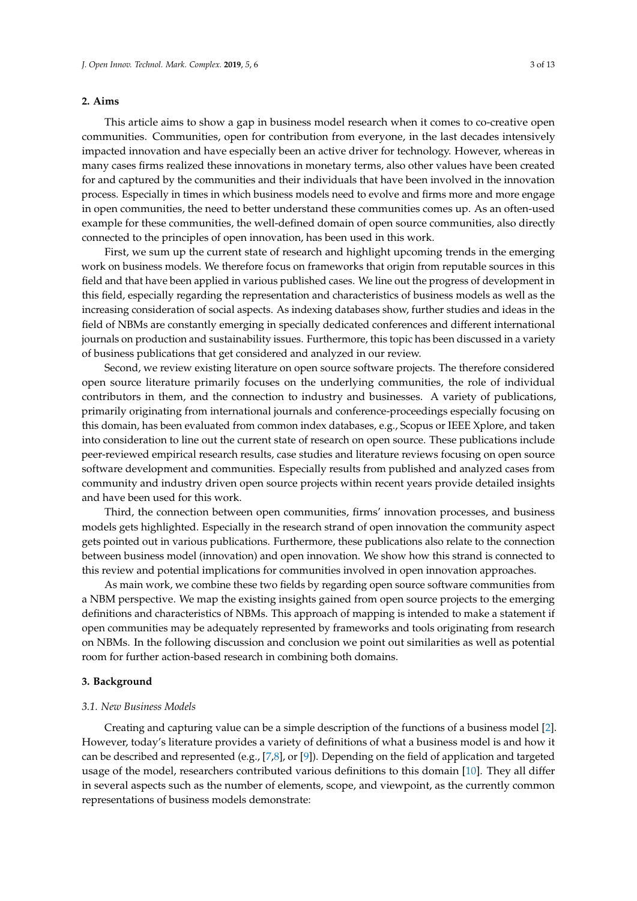### **2. Aims**

This article aims to show a gap in business model research when it comes to co-creative open communities. Communities, open for contribution from everyone, in the last decades intensively impacted innovation and have especially been an active driver for technology. However, whereas in many cases firms realized these innovations in monetary terms, also other values have been created for and captured by the communities and their individuals that have been involved in the innovation process. Especially in times in which business models need to evolve and firms more and more engage in open communities, the need to better understand these communities comes up. As an often-used example for these communities, the well-defined domain of open source communities, also directly connected to the principles of open innovation, has been used in this work.

First, we sum up the current state of research and highlight upcoming trends in the emerging work on business models. We therefore focus on frameworks that origin from reputable sources in this field and that have been applied in various published cases. We line out the progress of development in this field, especially regarding the representation and characteristics of business models as well as the increasing consideration of social aspects. As indexing databases show, further studies and ideas in the field of NBMs are constantly emerging in specially dedicated conferences and different international journals on production and sustainability issues. Furthermore, this topic has been discussed in a variety of business publications that get considered and analyzed in our review.

Second, we review existing literature on open source software projects. The therefore considered open source literature primarily focuses on the underlying communities, the role of individual contributors in them, and the connection to industry and businesses. A variety of publications, primarily originating from international journals and conference-proceedings especially focusing on this domain, has been evaluated from common index databases, e.g., Scopus or IEEE Xplore, and taken into consideration to line out the current state of research on open source. These publications include peer-reviewed empirical research results, case studies and literature reviews focusing on open source software development and communities. Especially results from published and analyzed cases from community and industry driven open source projects within recent years provide detailed insights and have been used for this work.

Third, the connection between open communities, firms' innovation processes, and business models gets highlighted. Especially in the research strand of open innovation the community aspect gets pointed out in various publications. Furthermore, these publications also relate to the connection between business model (innovation) and open innovation. We show how this strand is connected to this review and potential implications for communities involved in open innovation approaches.

As main work, we combine these two fields by regarding open source software communities from a NBM perspective. We map the existing insights gained from open source projects to the emerging definitions and characteristics of NBMs. This approach of mapping is intended to make a statement if open communities may be adequately represented by frameworks and tools originating from research on NBMs. In the following discussion and conclusion we point out similarities as well as potential room for further action-based research in combining both domains.

#### **3. Background**

#### *3.1. New Business Models*

Creating and capturing value can be a simple description of the functions of a business model [\[2\]](#page-10-1). However, today's literature provides a variety of definitions of what a business model is and how it can be described and represented (e.g., [\[7,](#page-10-6)[8\]](#page-10-7), or [\[9\]](#page-10-8)). Depending on the field of application and targeted usage of the model, researchers contributed various definitions to this domain [\[10\]](#page-10-9). They all differ in several aspects such as the number of elements, scope, and viewpoint, as the currently common representations of business models demonstrate: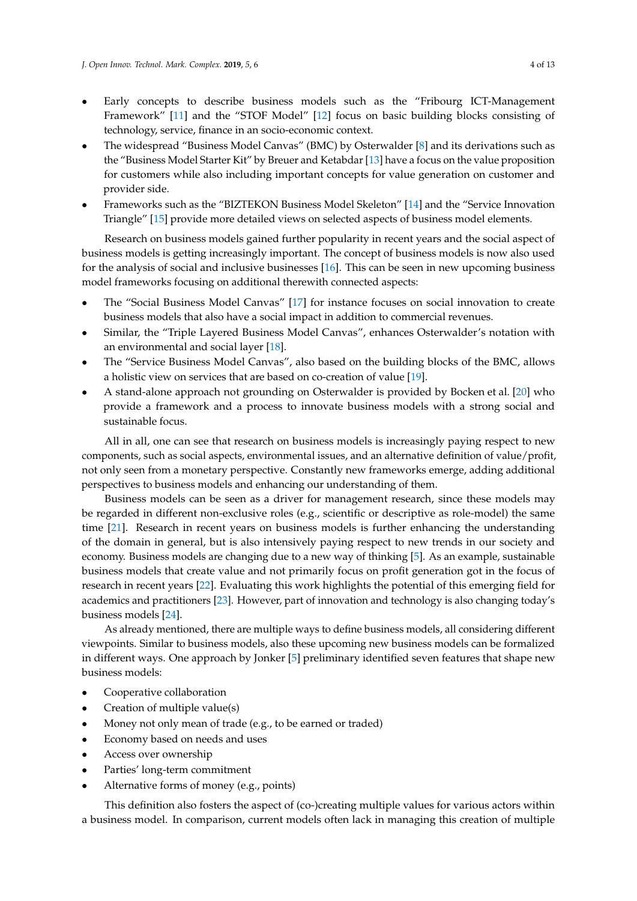- Early concepts to describe business models such as the "Fribourg ICT-Management Framework" [\[11\]](#page-10-10) and the "STOF Model" [\[12\]](#page-10-11) focus on basic building blocks consisting of technology, service, finance in an socio-economic context.
- The widespread "Business Model Canvas" (BMC) by Osterwalder [\[8\]](#page-10-7) and its derivations such as the "Business Model Starter Kit" by Breuer and Ketabdar [\[13\]](#page-10-12) have a focus on the value proposition for customers while also including important concepts for value generation on customer and provider side.
- Frameworks such as the "BIZTEKON Business Model Skeleton" [\[14\]](#page-10-13) and the "Service Innovation Triangle" [\[15\]](#page-11-0) provide more detailed views on selected aspects of business model elements.

Research on business models gained further popularity in recent years and the social aspect of business models is getting increasingly important. The concept of business models is now also used for the analysis of social and inclusive businesses [\[16\]](#page-11-1). This can be seen in new upcoming business model frameworks focusing on additional therewith connected aspects:

- The "Social Business Model Canvas" [\[17\]](#page-11-2) for instance focuses on social innovation to create business models that also have a social impact in addition to commercial revenues.
- Similar, the "Triple Layered Business Model Canvas", enhances Osterwalder's notation with an environmental and social layer [\[18\]](#page-11-3).
- The "Service Business Model Canvas", also based on the building blocks of the BMC, allows a holistic view on services that are based on co-creation of value [\[19\]](#page-11-4).
- A stand-alone approach not grounding on Osterwalder is provided by Bocken et al. [\[20\]](#page-11-5) who provide a framework and a process to innovate business models with a strong social and sustainable focus.

All in all, one can see that research on business models is increasingly paying respect to new components, such as social aspects, environmental issues, and an alternative definition of value/profit, not only seen from a monetary perspective. Constantly new frameworks emerge, adding additional perspectives to business models and enhancing our understanding of them.

Business models can be seen as a driver for management research, since these models may be regarded in different non-exclusive roles (e.g., scientific or descriptive as role-model) the same time [\[21\]](#page-11-6). Research in recent years on business models is further enhancing the understanding of the domain in general, but is also intensively paying respect to new trends in our society and economy. Business models are changing due to a new way of thinking [\[5\]](#page-10-4). As an example, sustainable business models that create value and not primarily focus on profit generation got in the focus of research in recent years [\[22\]](#page-11-7). Evaluating this work highlights the potential of this emerging field for academics and practitioners [\[23\]](#page-11-8). However, part of innovation and technology is also changing today's business models [\[24\]](#page-11-9).

As already mentioned, there are multiple ways to define business models, all considering different viewpoints. Similar to business models, also these upcoming new business models can be formalized in different ways. One approach by Jonker [\[5\]](#page-10-4) preliminary identified seven features that shape new business models:

- Cooperative collaboration
- Creation of multiple value(s)
- Money not only mean of trade (e.g., to be earned or traded)
- Economy based on needs and uses
- Access over ownership
- Parties' long-term commitment
- Alternative forms of money (e.g., points)

This definition also fosters the aspect of (co-)creating multiple values for various actors within a business model. In comparison, current models often lack in managing this creation of multiple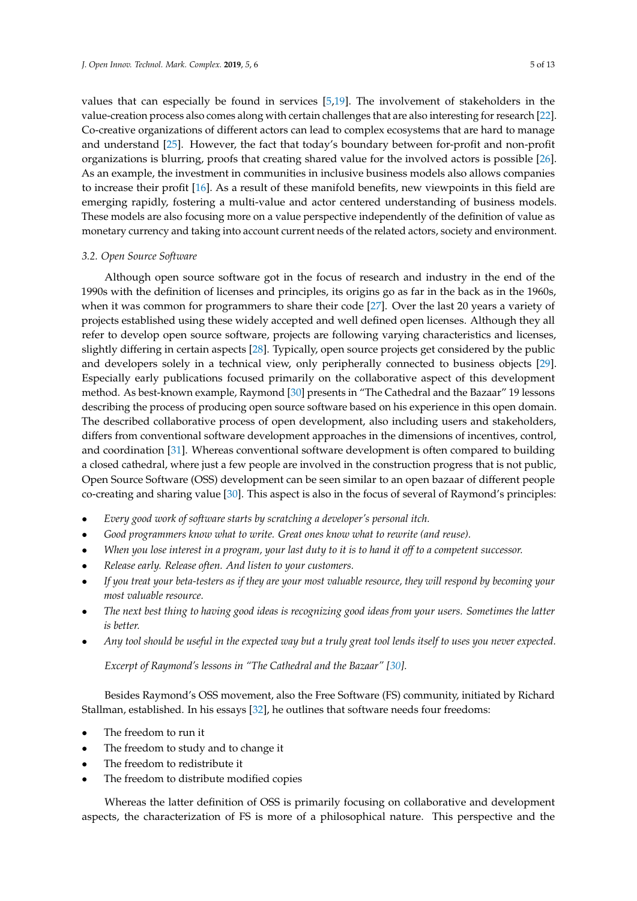values that can especially be found in services [\[5,](#page-10-4)[19\]](#page-11-4). The involvement of stakeholders in the value-creation process also comes along with certain challenges that are also interesting for research [\[22\]](#page-11-7). Co-creative organizations of different actors can lead to complex ecosystems that are hard to manage and understand [\[25\]](#page-11-10). However, the fact that today's boundary between for-profit and non-profit organizations is blurring, proofs that creating shared value for the involved actors is possible [\[26\]](#page-11-11). As an example, the investment in communities in inclusive business models also allows companies to increase their profit [\[16\]](#page-11-1). As a result of these manifold benefits, new viewpoints in this field are emerging rapidly, fostering a multi-value and actor centered understanding of business models. These models are also focusing more on a value perspective independently of the definition of value as monetary currency and taking into account current needs of the related actors, society and environment.

## *3.2. Open Source Software*

Although open source software got in the focus of research and industry in the end of the 1990s with the definition of licenses and principles, its origins go as far in the back as in the 1960s, when it was common for programmers to share their code [\[27\]](#page-11-12). Over the last 20 years a variety of projects established using these widely accepted and well defined open licenses. Although they all refer to develop open source software, projects are following varying characteristics and licenses, slightly differing in certain aspects [\[28\]](#page-11-13). Typically, open source projects get considered by the public and developers solely in a technical view, only peripherally connected to business objects [\[29\]](#page-11-14). Especially early publications focused primarily on the collaborative aspect of this development method. As best-known example, Raymond [\[30\]](#page-11-15) presents in "The Cathedral and the Bazaar" 19 lessons describing the process of producing open source software based on his experience in this open domain. The described collaborative process of open development, also including users and stakeholders, differs from conventional software development approaches in the dimensions of incentives, control, and coordination [\[31\]](#page-11-16). Whereas conventional software development is often compared to building a closed cathedral, where just a few people are involved in the construction progress that is not public, Open Source Software (OSS) development can be seen similar to an open bazaar of different people co-creating and sharing value [\[30\]](#page-11-15). This aspect is also in the focus of several of Raymond's principles:

- *Every good work of software starts by scratching a developer's personal itch.*
- *Good programmers know what to write. Great ones know what to rewrite (and reuse).*
- *When you lose interest in a program, your last duty to it is to hand it off to a competent successor.*
- *Release early. Release often. And listen to your customers.*
- *If you treat your beta-testers as if they are your most valuable resource, they will respond by becoming your most valuable resource.*
- *The next best thing to having good ideas is recognizing good ideas from your users. Sometimes the latter is better.*
- *Any tool should be useful in the expected way but a truly great tool lends itself to uses you never expected.*

*Excerpt of Raymond's lessons in "The Cathedral and the Bazaar" [\[30\]](#page-11-15).*

Besides Raymond's OSS movement, also the Free Software (FS) community, initiated by Richard Stallman, established. In his essays [\[32\]](#page-11-17), he outlines that software needs four freedoms:

- The freedom to run it
- The freedom to study and to change it
- The freedom to redistribute it
- The freedom to distribute modified copies

Whereas the latter definition of OSS is primarily focusing on collaborative and development aspects, the characterization of FS is more of a philosophical nature. This perspective and the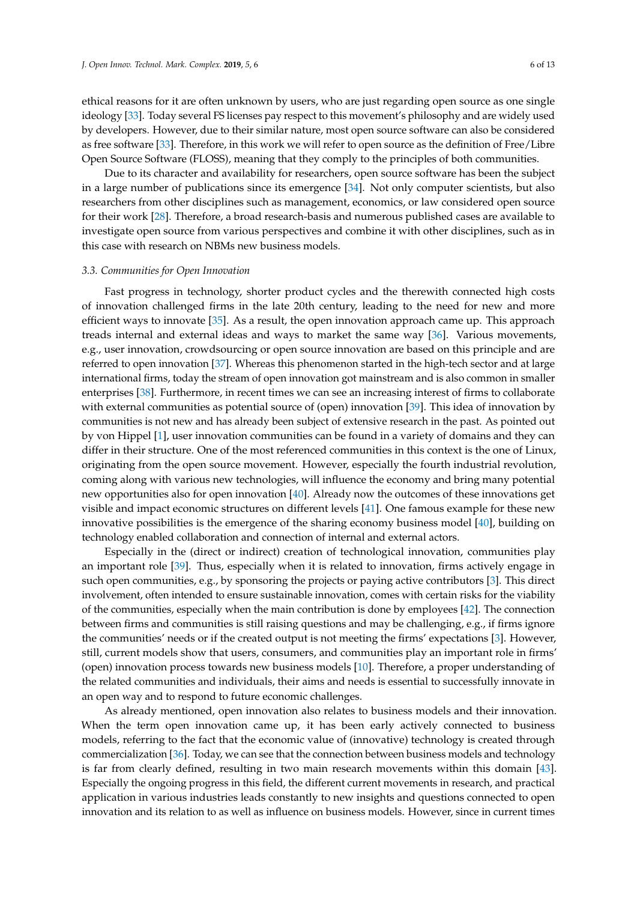ethical reasons for it are often unknown by users, who are just regarding open source as one single ideology [\[33\]](#page-11-18). Today several FS licenses pay respect to this movement's philosophy and are widely used by developers. However, due to their similar nature, most open source software can also be considered as free software [\[33\]](#page-11-18). Therefore, in this work we will refer to open source as the definition of Free/Libre Open Source Software (FLOSS), meaning that they comply to the principles of both communities.

Due to its character and availability for researchers, open source software has been the subject in a large number of publications since its emergence [\[34\]](#page-11-19). Not only computer scientists, but also researchers from other disciplines such as management, economics, or law considered open source for their work [\[28\]](#page-11-13). Therefore, a broad research-basis and numerous published cases are available to investigate open source from various perspectives and combine it with other disciplines, such as in this case with research on NBMs new business models.

## *3.3. Communities for Open Innovation*

Fast progress in technology, shorter product cycles and the therewith connected high costs of innovation challenged firms in the late 20th century, leading to the need for new and more efficient ways to innovate [\[35\]](#page-11-20). As a result, the open innovation approach came up. This approach treads internal and external ideas and ways to market the same way [\[36\]](#page-11-21). Various movements, e.g., user innovation, crowdsourcing or open source innovation are based on this principle and are referred to open innovation [\[37\]](#page-11-22). Whereas this phenomenon started in the high-tech sector and at large international firms, today the stream of open innovation got mainstream and is also common in smaller enterprises [\[38\]](#page-11-23). Furthermore, in recent times we can see an increasing interest of firms to collaborate with external communities as potential source of (open) innovation [\[39\]](#page-11-24). This idea of innovation by communities is not new and has already been subject of extensive research in the past. As pointed out by von Hippel [\[1\]](#page-10-0), user innovation communities can be found in a variety of domains and they can differ in their structure. One of the most referenced communities in this context is the one of Linux, originating from the open source movement. However, especially the fourth industrial revolution, coming along with various new technologies, will influence the economy and bring many potential new opportunities also for open innovation [\[40\]](#page-11-25). Already now the outcomes of these innovations get visible and impact economic structures on different levels [\[41\]](#page-11-26). One famous example for these new innovative possibilities is the emergence of the sharing economy business model [\[40\]](#page-11-25), building on technology enabled collaboration and connection of internal and external actors.

Especially in the (direct or indirect) creation of technological innovation, communities play an important role [\[39\]](#page-11-24). Thus, especially when it is related to innovation, firms actively engage in such open communities, e.g., by sponsoring the projects or paying active contributors [\[3\]](#page-10-2). This direct involvement, often intended to ensure sustainable innovation, comes with certain risks for the viability of the communities, especially when the main contribution is done by employees [\[42\]](#page-12-0). The connection between firms and communities is still raising questions and may be challenging, e.g., if firms ignore the communities' needs or if the created output is not meeting the firms' expectations [\[3\]](#page-10-2). However, still, current models show that users, consumers, and communities play an important role in firms' (open) innovation process towards new business models [\[10\]](#page-10-9). Therefore, a proper understanding of the related communities and individuals, their aims and needs is essential to successfully innovate in an open way and to respond to future economic challenges.

As already mentioned, open innovation also relates to business models and their innovation. When the term open innovation came up, it has been early actively connected to business models, referring to the fact that the economic value of (innovative) technology is created through commercialization [\[36\]](#page-11-21). Today, we can see that the connection between business models and technology is far from clearly defined, resulting in two main research movements within this domain [\[43\]](#page-12-1). Especially the ongoing progress in this field, the different current movements in research, and practical application in various industries leads constantly to new insights and questions connected to open innovation and its relation to as well as influence on business models. However, since in current times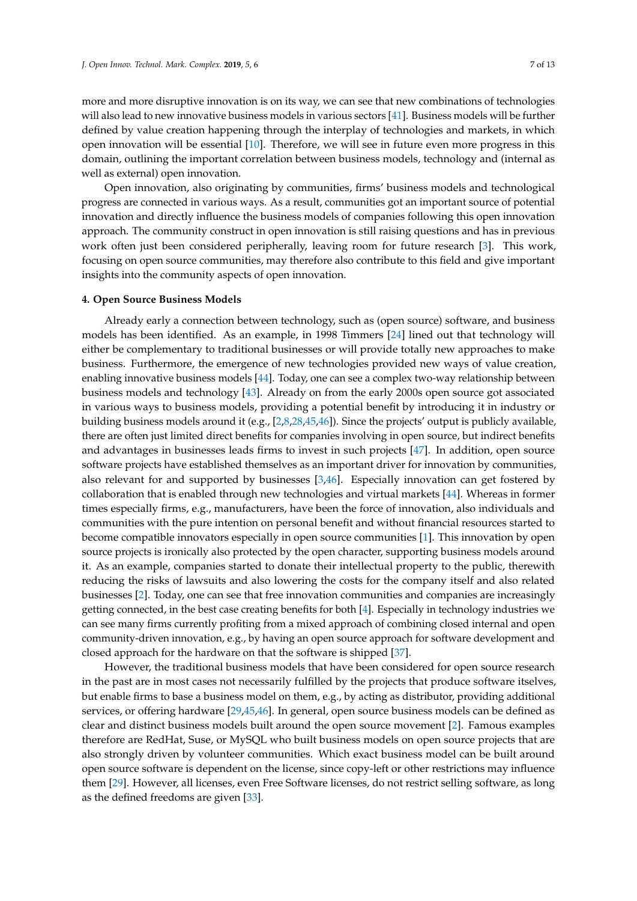more and more disruptive innovation is on its way, we can see that new combinations of technologies will also lead to new innovative business models in various sectors [\[41\]](#page-11-26). Business models will be further defined by value creation happening through the interplay of technologies and markets, in which open innovation will be essential [\[10\]](#page-10-9). Therefore, we will see in future even more progress in this domain, outlining the important correlation between business models, technology and (internal as well as external) open innovation.

Open innovation, also originating by communities, firms' business models and technological progress are connected in various ways. As a result, communities got an important source of potential innovation and directly influence the business models of companies following this open innovation approach. The community construct in open innovation is still raising questions and has in previous work often just been considered peripherally, leaving room for future research [\[3\]](#page-10-2). This work, focusing on open source communities, may therefore also contribute to this field and give important insights into the community aspects of open innovation.

#### **4. Open Source Business Models**

Already early a connection between technology, such as (open source) software, and business models has been identified. As an example, in 1998 Timmers [\[24\]](#page-11-9) lined out that technology will either be complementary to traditional businesses or will provide totally new approaches to make business. Furthermore, the emergence of new technologies provided new ways of value creation, enabling innovative business models [\[44\]](#page-12-2). Today, one can see a complex two-way relationship between business models and technology [\[43\]](#page-12-1). Already on from the early 2000s open source got associated in various ways to business models, providing a potential benefit by introducing it in industry or building business models around it (e.g., [\[2,](#page-10-1)[8,](#page-10-7)[28](#page-11-13)[,45](#page-12-3)[,46\]](#page-12-4)). Since the projects' output is publicly available, there are often just limited direct benefits for companies involving in open source, but indirect benefits and advantages in businesses leads firms to invest in such projects [\[47\]](#page-12-5). In addition, open source software projects have established themselves as an important driver for innovation by communities, also relevant for and supported by businesses [\[3](#page-10-2)[,46\]](#page-12-4). Especially innovation can get fostered by collaboration that is enabled through new technologies and virtual markets [\[44\]](#page-12-2). Whereas in former times especially firms, e.g., manufacturers, have been the force of innovation, also individuals and communities with the pure intention on personal benefit and without financial resources started to become compatible innovators especially in open source communities [\[1\]](#page-10-0). This innovation by open source projects is ironically also protected by the open character, supporting business models around it. As an example, companies started to donate their intellectual property to the public, therewith reducing the risks of lawsuits and also lowering the costs for the company itself and also related businesses [\[2\]](#page-10-1). Today, one can see that free innovation communities and companies are increasingly getting connected, in the best case creating benefits for both [\[4\]](#page-10-3). Especially in technology industries we can see many firms currently profiting from a mixed approach of combining closed internal and open community-driven innovation, e.g., by having an open source approach for software development and closed approach for the hardware on that the software is shipped [\[37\]](#page-11-22).

However, the traditional business models that have been considered for open source research in the past are in most cases not necessarily fulfilled by the projects that produce software itselves, but enable firms to base a business model on them, e.g., by acting as distributor, providing additional services, or offering hardware [\[29,](#page-11-14)[45,](#page-12-3)[46\]](#page-12-4). In general, open source business models can be defined as clear and distinct business models built around the open source movement [\[2\]](#page-10-1). Famous examples therefore are RedHat, Suse, or MySQL who built business models on open source projects that are also strongly driven by volunteer communities. Which exact business model can be built around open source software is dependent on the license, since copy-left or other restrictions may influence them [\[29\]](#page-11-14). However, all licenses, even Free Software licenses, do not restrict selling software, as long as the defined freedoms are given [\[33\]](#page-11-18).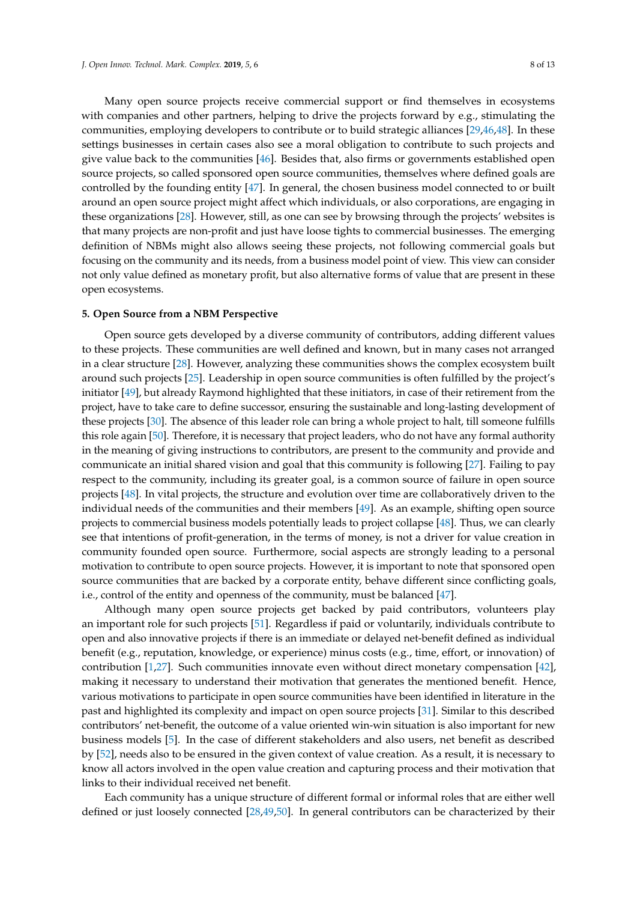Many open source projects receive commercial support or find themselves in ecosystems with companies and other partners, helping to drive the projects forward by e.g., stimulating the communities, employing developers to contribute or to build strategic alliances [\[29,](#page-11-14)[46,](#page-12-4)[48\]](#page-12-6). In these settings businesses in certain cases also see a moral obligation to contribute to such projects and give value back to the communities  $[46]$ . Besides that, also firms or governments established open source projects, so called sponsored open source communities, themselves where defined goals are controlled by the founding entity [\[47\]](#page-12-5). In general, the chosen business model connected to or built around an open source project might affect which individuals, or also corporations, are engaging in these organizations [\[28\]](#page-11-13). However, still, as one can see by browsing through the projects' websites is that many projects are non-profit and just have loose tights to commercial businesses. The emerging definition of NBMs might also allows seeing these projects, not following commercial goals but focusing on the community and its needs, from a business model point of view. This view can consider not only value defined as monetary profit, but also alternative forms of value that are present in these open ecosystems.

#### **5. Open Source from a NBM Perspective**

Open source gets developed by a diverse community of contributors, adding different values to these projects. These communities are well defined and known, but in many cases not arranged in a clear structure [\[28\]](#page-11-13). However, analyzing these communities shows the complex ecosystem built around such projects [\[25\]](#page-11-10). Leadership in open source communities is often fulfilled by the project's initiator [\[49\]](#page-12-7), but already Raymond highlighted that these initiators, in case of their retirement from the project, have to take care to define successor, ensuring the sustainable and long-lasting development of these projects [\[30\]](#page-11-15). The absence of this leader role can bring a whole project to halt, till someone fulfills this role again [\[50\]](#page-12-8). Therefore, it is necessary that project leaders, who do not have any formal authority in the meaning of giving instructions to contributors, are present to the community and provide and communicate an initial shared vision and goal that this community is following [\[27\]](#page-11-12). Failing to pay respect to the community, including its greater goal, is a common source of failure in open source projects [\[48\]](#page-12-6). In vital projects, the structure and evolution over time are collaboratively driven to the individual needs of the communities and their members [\[49\]](#page-12-7). As an example, shifting open source projects to commercial business models potentially leads to project collapse [\[48\]](#page-12-6). Thus, we can clearly see that intentions of profit-generation, in the terms of money, is not a driver for value creation in community founded open source. Furthermore, social aspects are strongly leading to a personal motivation to contribute to open source projects. However, it is important to note that sponsored open source communities that are backed by a corporate entity, behave different since conflicting goals, i.e., control of the entity and openness of the community, must be balanced [\[47\]](#page-12-5).

Although many open source projects get backed by paid contributors, volunteers play an important role for such projects [\[51\]](#page-12-9). Regardless if paid or voluntarily, individuals contribute to open and also innovative projects if there is an immediate or delayed net-benefit defined as individual benefit (e.g., reputation, knowledge, or experience) minus costs (e.g., time, effort, or innovation) of contribution [\[1](#page-10-0)[,27\]](#page-11-12). Such communities innovate even without direct monetary compensation [\[42\]](#page-12-0), making it necessary to understand their motivation that generates the mentioned benefit. Hence, various motivations to participate in open source communities have been identified in literature in the past and highlighted its complexity and impact on open source projects [\[31\]](#page-11-16). Similar to this described contributors' net-benefit, the outcome of a value oriented win-win situation is also important for new business models [\[5\]](#page-10-4). In the case of different stakeholders and also users, net benefit as described by [\[52\]](#page-12-10), needs also to be ensured in the given context of value creation. As a result, it is necessary to know all actors involved in the open value creation and capturing process and their motivation that links to their individual received net benefit.

Each community has a unique structure of different formal or informal roles that are either well defined or just loosely connected [\[28](#page-11-13)[,49](#page-12-7)[,50\]](#page-12-8). In general contributors can be characterized by their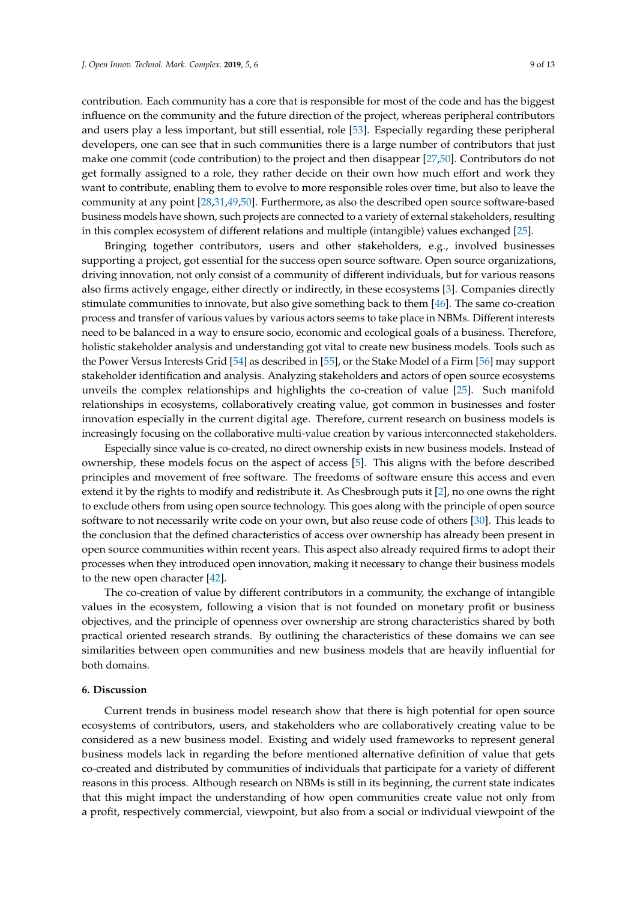contribution. Each community has a core that is responsible for most of the code and has the biggest influence on the community and the future direction of the project, whereas peripheral contributors and users play a less important, but still essential, role [\[53\]](#page-12-11). Especially regarding these peripheral developers, one can see that in such communities there is a large number of contributors that just make one commit (code contribution) to the project and then disappear [\[27,](#page-11-12)[50\]](#page-12-8). Contributors do not get formally assigned to a role, they rather decide on their own how much effort and work they want to contribute, enabling them to evolve to more responsible roles over time, but also to leave the

community at any point [\[28](#page-11-13)[,31](#page-11-16)[,49,](#page-12-7)[50\]](#page-12-8). Furthermore, as also the described open source software-based business models have shown, such projects are connected to a variety of external stakeholders, resulting in this complex ecosystem of different relations and multiple (intangible) values exchanged [\[25\]](#page-11-10). Bringing together contributors, users and other stakeholders, e.g., involved businesses

supporting a project, got essential for the success open source software. Open source organizations, driving innovation, not only consist of a community of different individuals, but for various reasons also firms actively engage, either directly or indirectly, in these ecosystems [\[3\]](#page-10-2). Companies directly stimulate communities to innovate, but also give something back to them [\[46\]](#page-12-4). The same co-creation process and transfer of various values by various actors seems to take place in NBMs. Different interests need to be balanced in a way to ensure socio, economic and ecological goals of a business. Therefore, holistic stakeholder analysis and understanding got vital to create new business models. Tools such as the Power Versus Interests Grid [\[54\]](#page-12-12) as described in [\[55\]](#page-12-13), or the Stake Model of a Firm [\[56\]](#page-12-14) may support stakeholder identification and analysis. Analyzing stakeholders and actors of open source ecosystems unveils the complex relationships and highlights the co-creation of value [\[25\]](#page-11-10). Such manifold relationships in ecosystems, collaboratively creating value, got common in businesses and foster innovation especially in the current digital age. Therefore, current research on business models is increasingly focusing on the collaborative multi-value creation by various interconnected stakeholders.

Especially since value is co-created, no direct ownership exists in new business models. Instead of ownership, these models focus on the aspect of access [\[5\]](#page-10-4). This aligns with the before described principles and movement of free software. The freedoms of software ensure this access and even extend it by the rights to modify and redistribute it. As Chesbrough puts it [\[2\]](#page-10-1), no one owns the right to exclude others from using open source technology. This goes along with the principle of open source software to not necessarily write code on your own, but also reuse code of others [\[30\]](#page-11-15). This leads to the conclusion that the defined characteristics of access over ownership has already been present in open source communities within recent years. This aspect also already required firms to adopt their processes when they introduced open innovation, making it necessary to change their business models to the new open character [\[42\]](#page-12-0).

The co-creation of value by different contributors in a community, the exchange of intangible values in the ecosystem, following a vision that is not founded on monetary profit or business objectives, and the principle of openness over ownership are strong characteristics shared by both practical oriented research strands. By outlining the characteristics of these domains we can see similarities between open communities and new business models that are heavily influential for both domains.

## **6. Discussion**

Current trends in business model research show that there is high potential for open source ecosystems of contributors, users, and stakeholders who are collaboratively creating value to be considered as a new business model. Existing and widely used frameworks to represent general business models lack in regarding the before mentioned alternative definition of value that gets co-created and distributed by communities of individuals that participate for a variety of different reasons in this process. Although research on NBMs is still in its beginning, the current state indicates that this might impact the understanding of how open communities create value not only from a profit, respectively commercial, viewpoint, but also from a social or individual viewpoint of the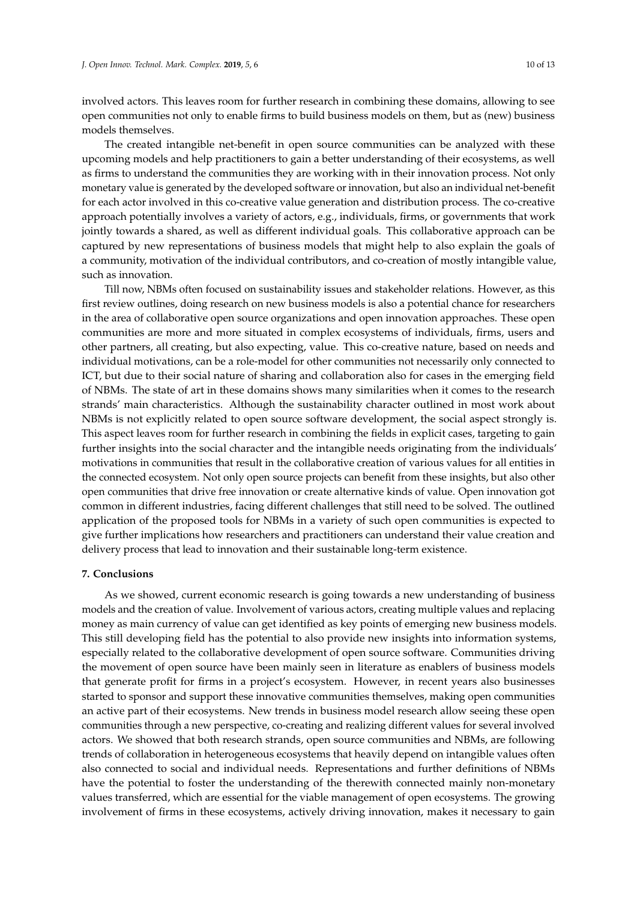involved actors. This leaves room for further research in combining these domains, allowing to see open communities not only to enable firms to build business models on them, but as (new) business models themselves.

The created intangible net-benefit in open source communities can be analyzed with these upcoming models and help practitioners to gain a better understanding of their ecosystems, as well as firms to understand the communities they are working with in their innovation process. Not only monetary value is generated by the developed software or innovation, but also an individual net-benefit for each actor involved in this co-creative value generation and distribution process. The co-creative approach potentially involves a variety of actors, e.g., individuals, firms, or governments that work jointly towards a shared, as well as different individual goals. This collaborative approach can be captured by new representations of business models that might help to also explain the goals of a community, motivation of the individual contributors, and co-creation of mostly intangible value, such as innovation.

Till now, NBMs often focused on sustainability issues and stakeholder relations. However, as this first review outlines, doing research on new business models is also a potential chance for researchers in the area of collaborative open source organizations and open innovation approaches. These open communities are more and more situated in complex ecosystems of individuals, firms, users and other partners, all creating, but also expecting, value. This co-creative nature, based on needs and individual motivations, can be a role-model for other communities not necessarily only connected to ICT, but due to their social nature of sharing and collaboration also for cases in the emerging field of NBMs. The state of art in these domains shows many similarities when it comes to the research strands' main characteristics. Although the sustainability character outlined in most work about NBMs is not explicitly related to open source software development, the social aspect strongly is. This aspect leaves room for further research in combining the fields in explicit cases, targeting to gain further insights into the social character and the intangible needs originating from the individuals' motivations in communities that result in the collaborative creation of various values for all entities in the connected ecosystem. Not only open source projects can benefit from these insights, but also other open communities that drive free innovation or create alternative kinds of value. Open innovation got common in different industries, facing different challenges that still need to be solved. The outlined application of the proposed tools for NBMs in a variety of such open communities is expected to give further implications how researchers and practitioners can understand their value creation and delivery process that lead to innovation and their sustainable long-term existence.

## **7. Conclusions**

As we showed, current economic research is going towards a new understanding of business models and the creation of value. Involvement of various actors, creating multiple values and replacing money as main currency of value can get identified as key points of emerging new business models. This still developing field has the potential to also provide new insights into information systems, especially related to the collaborative development of open source software. Communities driving the movement of open source have been mainly seen in literature as enablers of business models that generate profit for firms in a project's ecosystem. However, in recent years also businesses started to sponsor and support these innovative communities themselves, making open communities an active part of their ecosystems. New trends in business model research allow seeing these open communities through a new perspective, co-creating and realizing different values for several involved actors. We showed that both research strands, open source communities and NBMs, are following trends of collaboration in heterogeneous ecosystems that heavily depend on intangible values often also connected to social and individual needs. Representations and further definitions of NBMs have the potential to foster the understanding of the therewith connected mainly non-monetary values transferred, which are essential for the viable management of open ecosystems. The growing involvement of firms in these ecosystems, actively driving innovation, makes it necessary to gain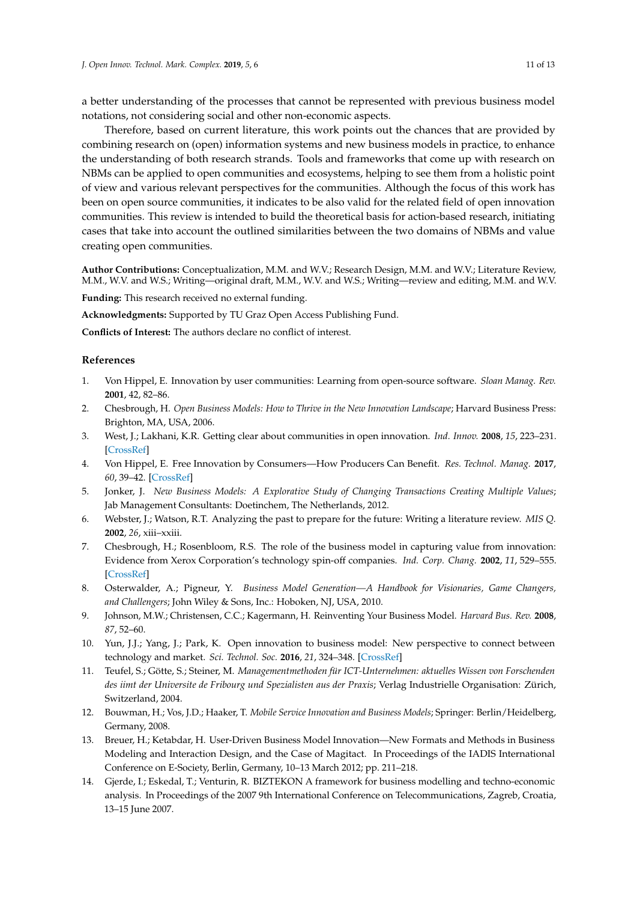a better understanding of the processes that cannot be represented with previous business model notations, not considering social and other non-economic aspects.

Therefore, based on current literature, this work points out the chances that are provided by combining research on (open) information systems and new business models in practice, to enhance the understanding of both research strands. Tools and frameworks that come up with research on NBMs can be applied to open communities and ecosystems, helping to see them from a holistic point of view and various relevant perspectives for the communities. Although the focus of this work has been on open source communities, it indicates to be also valid for the related field of open innovation communities. This review is intended to build the theoretical basis for action-based research, initiating cases that take into account the outlined similarities between the two domains of NBMs and value creating open communities.

**Author Contributions:** Conceptualization, M.M. and W.V.; Research Design, M.M. and W.V.; Literature Review, M.M., W.V. and W.S.; Writing—original draft, M.M., W.V. and W.S.; Writing—review and editing, M.M. and W.V.

**Funding:** This research received no external funding.

**Acknowledgments:** Supported by TU Graz Open Access Publishing Fund.

**Conflicts of Interest:** The authors declare no conflict of interest.

## **References**

- <span id="page-10-0"></span>1. Von Hippel, E. Innovation by user communities: Learning from open-source software. *Sloan Manag. Rev.* **2001**, 42, 82–86.
- <span id="page-10-1"></span>2. Chesbrough, H. *Open Business Models: How to Thrive in the New Innovation Landscape*; Harvard Business Press: Brighton, MA, USA, 2006.
- <span id="page-10-2"></span>3. West, J.; Lakhani, K.R. Getting clear about communities in open innovation. *Ind. Innov.* **2008**, *15*, 223–231. [\[CrossRef\]](http://dx.doi.org/10.1080/13662710802033734)
- <span id="page-10-3"></span>4. Von Hippel, E. Free Innovation by Consumers—How Producers Can Benefit. *Res. Technol. Manag.* **2017**, *60*, 39–42. [\[CrossRef\]](http://dx.doi.org/10.1080/08956308.2017.1255055)
- <span id="page-10-4"></span>5. Jonker, J. *New Business Models: A Explorative Study of Changing Transactions Creating Multiple Values*; Jab Management Consultants: Doetinchem, The Netherlands, 2012.
- <span id="page-10-5"></span>6. Webster, J.; Watson, R.T. Analyzing the past to prepare for the future: Writing a literature review. *MIS Q.* **2002**, *26*, xiii–xxiii.
- <span id="page-10-6"></span>7. Chesbrough, H.; Rosenbloom, R.S. The role of the business model in capturing value from innovation: Evidence from Xerox Corporation's technology spin-off companies. *Ind. Corp. Chang.* **2002**, *11*, 529–555. [\[CrossRef\]](http://dx.doi.org/10.1093/icc/11.3.529)
- <span id="page-10-7"></span>8. Osterwalder, A.; Pigneur, Y. *Business Model Generation—A Handbook for Visionaries, Game Changers, and Challengers*; John Wiley & Sons, Inc.: Hoboken, NJ, USA, 2010.
- <span id="page-10-8"></span>9. Johnson, M.W.; Christensen, C.C.; Kagermann, H. Reinventing Your Business Model. *Harvard Bus. Rev.* **2008**, *87*, 52–60.
- <span id="page-10-9"></span>10. Yun, J.J.; Yang, J.; Park, K. Open innovation to business model: New perspective to connect between technology and market. *Sci. Technol. Soc.* **2016**, *21*, 324–348. [\[CrossRef\]](http://dx.doi.org/10.1177/0971721816661784)
- <span id="page-10-10"></span>11. Teufel, S.; Götte, S.; Steiner, M. *Managementmethoden für ICT-Unternehmen: aktuelles Wissen von Forschenden des iimt der Universite de Fribourg und Spezialisten aus der Praxis*; Verlag Industrielle Organisation: Zürich, Switzerland, 2004.
- <span id="page-10-11"></span>12. Bouwman, H.; Vos, J.D.; Haaker, T. *Mobile Service Innovation and Business Models*; Springer: Berlin/Heidelberg, Germany, 2008.
- <span id="page-10-12"></span>13. Breuer, H.; Ketabdar, H. User-Driven Business Model Innovation—New Formats and Methods in Business Modeling and Interaction Design, and the Case of Magitact. In Proceedings of the IADIS International Conference on E-Society, Berlin, Germany, 10–13 March 2012; pp. 211–218.
- <span id="page-10-13"></span>14. Gjerde, I.; Eskedal, T.; Venturin, R. BIZTEKON A framework for business modelling and techno-economic analysis. In Proceedings of the 2007 9th International Conference on Telecommunications, Zagreb, Croatia, 13–15 June 2007.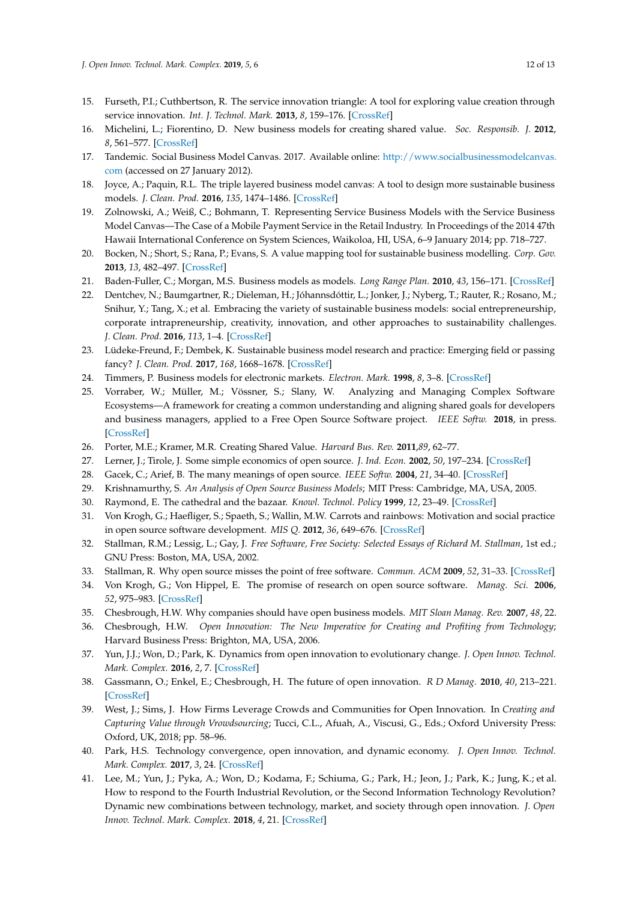- <span id="page-11-0"></span>15. Furseth, P.I.; Cuthbertson, R. The service innovation triangle: A tool for exploring value creation through service innovation. *Int. J. Technol. Mark.* **2013**, *8*, 159–176. [\[CrossRef\]](http://dx.doi.org/10.1504/IJTMKT.2013.054082)
- <span id="page-11-1"></span>16. Michelini, L.; Fiorentino, D. New business models for creating shared value. *Soc. Responsib. J.* **2012**, *8*, 561–577. [\[CrossRef\]](http://dx.doi.org/10.1108/17471111211272129)
- <span id="page-11-2"></span>17. Tandemic. Social Business Model Canvas. 2017. Available online: [http://www.socialbusinessmodelcanvas.](http://www.socialbusinessmodelcanvas.com) [com](http://www.socialbusinessmodelcanvas.com) (accessed on 27 January 2012).
- <span id="page-11-3"></span>18. Joyce, A.; Paquin, R.L. The triple layered business model canvas: A tool to design more sustainable business models. *J. Clean. Prod.* **2016**, *135*, 1474–1486. [\[CrossRef\]](http://dx.doi.org/10.1016/j.jclepro.2016.06.067)
- <span id="page-11-4"></span>19. Zolnowski, A.; Weiß, C.; Bohmann, T. Representing Service Business Models with the Service Business Model Canvas—The Case of a Mobile Payment Service in the Retail Industry. In Proceedings of the 2014 47th Hawaii International Conference on System Sciences, Waikoloa, HI, USA, 6–9 January 2014; pp. 718–727.
- <span id="page-11-5"></span>20. Bocken, N.; Short, S.; Rana, P.; Evans, S. A value mapping tool for sustainable business modelling. *Corp. Gov.* **2013**, *13*, 482–497. [\[CrossRef\]](http://dx.doi.org/10.1108/CG-06-2013-0078)
- <span id="page-11-6"></span>21. Baden-Fuller, C.; Morgan, M.S. Business models as models. *Long Range Plan.* **2010**, *43*, 156–171. [\[CrossRef\]](http://dx.doi.org/10.1016/j.lrp.2010.02.005)
- <span id="page-11-7"></span>22. Dentchev, N.; Baumgartner, R.; Dieleman, H.; Jóhannsdóttir, L.; Jonker, J.; Nyberg, T.; Rauter, R.; Rosano, M.; Snihur, Y.; Tang, X.; et al. Embracing the variety of sustainable business models: social entrepreneurship, corporate intrapreneurship, creativity, innovation, and other approaches to sustainability challenges. *J. Clean. Prod.* **2016**, *113*, 1–4. [\[CrossRef\]](http://dx.doi.org/10.1016/j.jclepro.2015.10.130)
- <span id="page-11-8"></span>23. Lüdeke-Freund, F.; Dembek, K. Sustainable business model research and practice: Emerging field or passing fancy? *J. Clean. Prod.* **2017**, *168*, 1668–1678. [\[CrossRef\]](http://dx.doi.org/10.1016/j.jclepro.2017.08.093)
- <span id="page-11-9"></span>24. Timmers, P. Business models for electronic markets. *Electron. Mark.* **1998**, *8*, 3–8. [\[CrossRef\]](http://dx.doi.org/10.1080/10196789800000016)
- <span id="page-11-10"></span>25. Vorraber, W.; Müller, M.; Vössner, S.; Slany, W. Analyzing and Managing Complex Software Ecosystems—A framework for creating a common understanding and aligning shared goals for developers and business managers, applied to a Free Open Source Software project. *IEEE Softw.* **2018**, in press. [\[CrossRef\]](http://dx.doi.org/10.1109/MS.2018.290100810)
- <span id="page-11-11"></span>26. Porter, M.E.; Kramer, M.R. Creating Shared Value. *Harvard Bus. Rev.* **2011**,*89*, 62–77.
- <span id="page-11-12"></span>27. Lerner, J.; Tirole, J. Some simple economics of open source. *J. Ind. Econ.* **2002**, *50*, 197–234. [\[CrossRef\]](http://dx.doi.org/10.1111/1467-6451.00174)
- <span id="page-11-13"></span>28. Gacek, C.; Arief, B. The many meanings of open source. *IEEE Softw.* **2004**, *21*, 34–40. [\[CrossRef\]](http://dx.doi.org/10.1109/MS.2004.1259206)
- <span id="page-11-14"></span>29. Krishnamurthy, S. *An Analysis of Open Source Business Models*; MIT Press: Cambridge, MA, USA, 2005.
- <span id="page-11-15"></span>30. Raymond, E. The cathedral and the bazaar. *Knowl. Technol. Policy* **1999**, *12*, 23–49. [\[CrossRef\]](http://dx.doi.org/10.1007/s12130-999-1026-0)
- <span id="page-11-16"></span>31. Von Krogh, G.; Haefliger, S.; Spaeth, S.; Wallin, M.W. Carrots and rainbows: Motivation and social practice in open source software development. *MIS Q.* **2012**, *36*, 649–676. [\[CrossRef\]](http://dx.doi.org/10.2307/41703471)
- <span id="page-11-17"></span>32. Stallman, R.M.; Lessig, L.; Gay, J. *Free Software, Free Society: Selected Essays of Richard M. Stallman*, 1st ed.; GNU Press: Boston, MA, USA, 2002.
- <span id="page-11-18"></span>33. Stallman, R. Why open source misses the point of free software. *Commun. ACM* **2009**, *52*, 31–33. [\[CrossRef\]](http://dx.doi.org/10.1145/1516046.1516058)
- <span id="page-11-19"></span>34. Von Krogh, G.; Von Hippel, E. The promise of research on open source software. *Manag. Sci.* **2006**, *52*, 975–983. [\[CrossRef\]](http://dx.doi.org/10.1287/mnsc.1060.0560)
- <span id="page-11-20"></span>35. Chesbrough, H.W. Why companies should have open business models. *MIT Sloan Manag. Rev.* **2007**, *48*, 22.
- <span id="page-11-21"></span>36. Chesbrough, H.W. *Open Innovation: The New Imperative for Creating and Profiting from Technology*; Harvard Business Press: Brighton, MA, USA, 2006.
- <span id="page-11-22"></span>37. Yun, J.J.; Won, D.; Park, K. Dynamics from open innovation to evolutionary change. *J. Open Innov. Technol. Mark. Complex.* **2016**, *2*, 7. [\[CrossRef\]](http://dx.doi.org/10.1186/s40852-016-0033-0)
- <span id="page-11-23"></span>38. Gassmann, O.; Enkel, E.; Chesbrough, H. The future of open innovation. *R D Manag.* **2010**, *40*, 213–221. [\[CrossRef\]](http://dx.doi.org/10.1111/j.1467-9310.2010.00605.x)
- <span id="page-11-24"></span>39. West, J.; Sims, J. How Firms Leverage Crowds and Communities for Open Innovation. In *Creating and Capturing Value through Vrowdsourcing*; Tucci, C.L., Afuah, A., Viscusi, G., Eds.; Oxford University Press: Oxford, UK, 2018; pp. 58–96.
- <span id="page-11-25"></span>40. Park, H.S. Technology convergence, open innovation, and dynamic economy. *J. Open Innov. Technol. Mark. Complex.* **2017**, *3*, 24. [\[CrossRef\]](http://dx.doi.org/10.1186/s40852-017-0074-z)
- <span id="page-11-26"></span>41. Lee, M.; Yun, J.; Pyka, A.; Won, D.; Kodama, F.; Schiuma, G.; Park, H.; Jeon, J.; Park, K.; Jung, K.; et al. How to respond to the Fourth Industrial Revolution, or the Second Information Technology Revolution? Dynamic new combinations between technology, market, and society through open innovation. *J. Open Innov. Technol. Mark. Complex.* **2018**, *4*, 21. [\[CrossRef\]](http://dx.doi.org/10.3390/joitmc4030021)